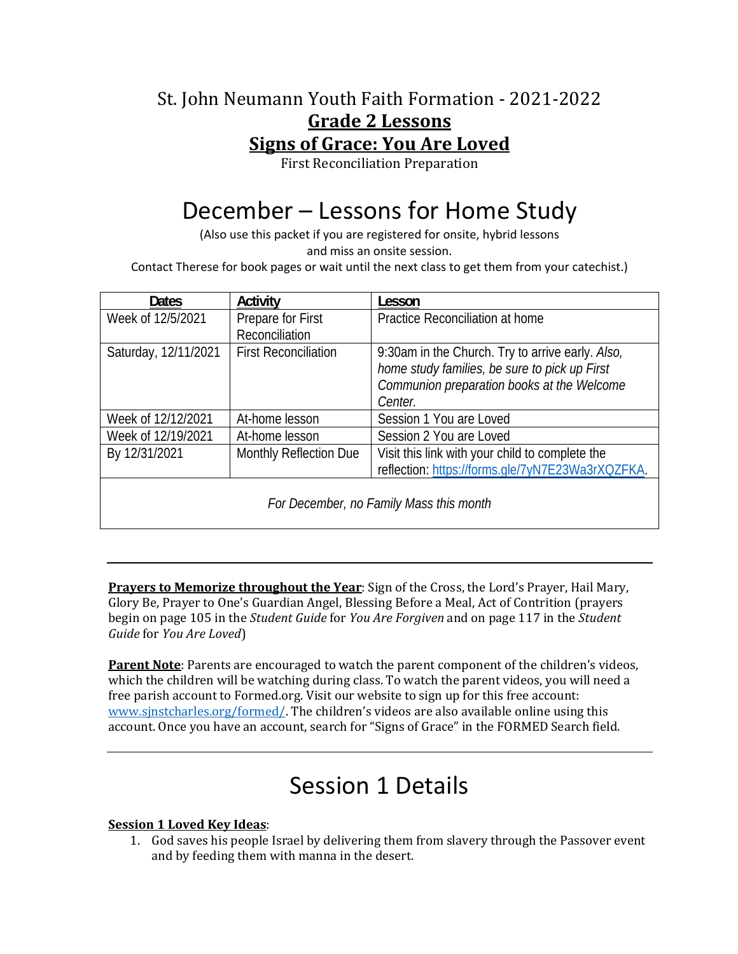### St. John Neumann Youth Faith Formation - 2021-2022 **Grade 2 Lessons Signs of Grace: You Are Loved**

First Reconciliation Preparation

# December – Lessons for Home Study

(Also use this packet if you are registered for onsite, hybrid lessons and miss an onsite session.

Contact Therese for book pages or wait until the next class to get them from your catechist.)

| <b>Dates</b>                            | Activity                    | Lesson                                           |
|-----------------------------------------|-----------------------------|--------------------------------------------------|
| Week of 12/5/2021                       | Prepare for First           | Practice Reconciliation at home                  |
|                                         | Reconciliation              |                                                  |
| Saturday, 12/11/2021                    | <b>First Reconciliation</b> | 9:30am in the Church. Try to arrive early. Also, |
|                                         |                             | home study families, be sure to pick up First    |
|                                         |                             | Communion preparation books at the Welcome       |
|                                         |                             | Center.                                          |
| Week of 12/12/2021                      | At-home lesson              | Session 1 You are Loved                          |
| Week of 12/19/2021                      | At-home lesson              | Session 2 You are Loved                          |
| By 12/31/2021                           | Monthly Reflection Due      | Visit this link with your child to complete the  |
|                                         |                             | reflection: https://forms.gle/7yN7E23Wa3rXQZFKA. |
| For December, no Family Mass this month |                             |                                                  |

**Prayers to Memorize throughout the Year**: Sign of the Cross, the Lord's Prayer, Hail Mary, Glory Be, Prayer to One's Guardian Angel, Blessing Before a Meal, Act of Contrition (prayers begin on page 105 in the *Student Guide* for *You Are Forgiven* and on page 117 in the *Student Guide* for *You Are Loved*)

**Parent Note**: Parents are encouraged to watch the parent component of the children's videos, which the children will be watching during class. To watch the parent videos, you will need a free parish account to Formed.org. Visit our website to sign up for this free account: www.sjnstcharles.org/formed/. The children's videos are also available online using this account. Once you have an account, search for "Signs of Grace" in the FORMED Search field.

### Session 1 Details

#### **Session 1 Loved Key Ideas**:

1. God saves his people Israel by delivering them from slavery through the Passover event and by feeding them with manna in the desert.